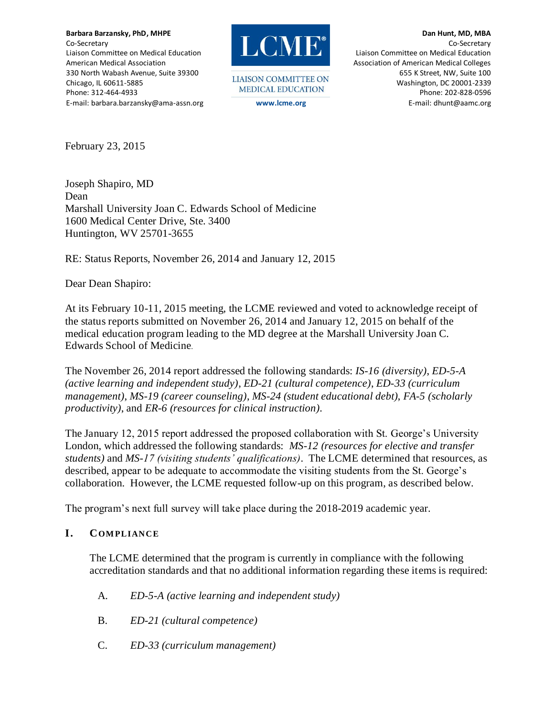**Barbara Barzansky, PhD, MHPE** Co-Secretary Liaison Committee on Medical Education American Medical Association 330 North Wabash Avenue, Suite 39300 Chicago, IL 60611-5885 Phone: 312-464-4933 E-mail: barbara.barzansky@ama-assn.org



**LIAISON COMMITTEE ON** MEDICAL EDUCATION

**Dan Hunt, MD, MBA** Co-Secretary Liaison Committee on Medical Education Association of American Medical Colleges 655 K Street, NW, Suite 100 Washington, DC 20001-2339 Phone: 202-828-0596 **www.lcme.org** E-mail: dhunt@aamc.org

February 23, 2015

Joseph Shapiro, MD Dean Marshall University Joan C. Edwards School of Medicine 1600 Medical Center Drive, Ste. 3400 Huntington, WV 25701-3655

RE: Status Reports, November 26, 2014 and January 12, 2015

Dear Dean Shapiro:

At its February 10-11, 2015 meeting, the LCME reviewed and voted to acknowledge receipt of the status reports submitted on November 26, 2014 and January 12, 2015 on behalf of the medical education program leading to the MD degree at the Marshall University Joan C. Edwards School of Medicine.

The November 26, 2014 report addressed the following standards: *IS-16 (diversity)*, *ED-5-A (active learning and independent study)*, *ED-21 (cultural competence)*, *ED-33 (curriculum management)*, *MS-19 (career counseling)*, *MS-24 (student educational debt)*, *FA-5 (scholarly productivity)*, and *ER-6 (resources for clinical instruction).*

The January 12, 2015 report addressed the proposed collaboration with St. George's University London, which addressed the following standards: *MS-12 (resources for elective and transfer students)* and *MS-17 (visiting students' qualifications)*. The LCME determined that resources, as described, appear to be adequate to accommodate the visiting students from the St. George's collaboration. However, the LCME requested follow-up on this program, as described below.

The program's next full survey will take place during the 2018-2019 academic year.

#### **I. COM PLIANCE**

The LCME determined that the program is currently in compliance with the following accreditation standards and that no additional information regarding these items is required:

- A. *ED-5-A (active learning and independent study)*
- B. *ED-21 (cultural competence)*
- C. *ED-33 (curriculum management)*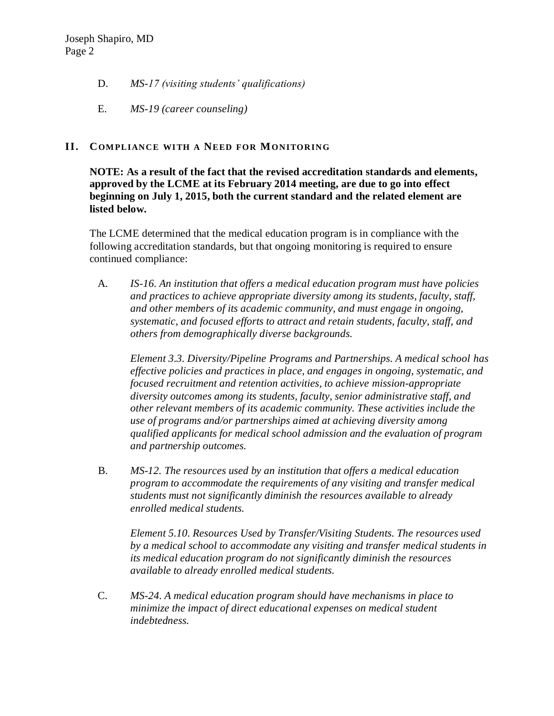- D. *MS-17 (visiting students' qualifications)*
- E. *MS-19 (career counseling)*

## **II. COM PLIANCE WI TH A NEED FOR MONITORING**

**NOTE: As a result of the fact that the revised accreditation standards and elements, approved by the LCME at its February 2014 meeting, are due to go into effect beginning on July 1, 2015, both the current standard and the related element are listed below.**

The LCME determined that the medical education program is in compliance with the following accreditation standards, but that ongoing monitoring is required to ensure continued compliance:

A. *IS-16. An institution that offers a medical education program must have policies and practices to achieve appropriate diversity among its students, faculty, staff, and other members of its academic community, and must engage in ongoing, systematic, and focused efforts to attract and retain students, faculty, staff, and others from demographically diverse backgrounds.* 

*Element 3.3. Diversity/Pipeline Programs and Partnerships. A medical school has effective policies and practices in place, and engages in ongoing, systematic, and focused recruitment and retention activities, to achieve mission-appropriate diversity outcomes among its students, faculty, senior administrative staff, and other relevant members of its academic community. These activities include the use of programs and/or partnerships aimed at achieving diversity among qualified applicants for medical school admission and the evaluation of program and partnership outcomes.*

B. *MS-12. The resources used by an institution that offers a medical education program to accommodate the requirements of any visiting and transfer medical students must not significantly diminish the resources available to already enrolled medical students.*

*Element 5.10. Resources Used by Transfer/Visiting Students. The resources used by a medical school to accommodate any visiting and transfer medical students in its medical education program do not significantly diminish the resources available to already enrolled medical students.*

C. *MS-24. A medical education program should have mechanisms in place to minimize the impact of direct educational expenses on medical student indebtedness.*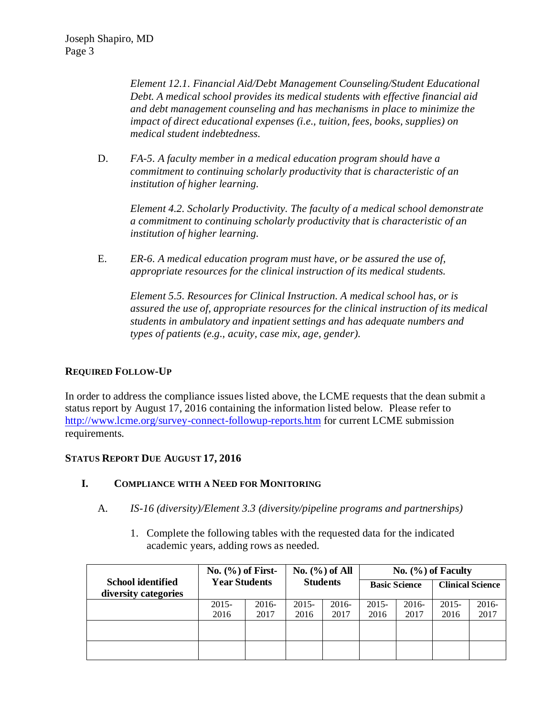*Element 12.1. Financial Aid/Debt Management Counseling/Student Educational Debt. A medical school provides its medical students with effective financial aid and debt management counseling and has mechanisms in place to minimize the impact of direct educational expenses (i.e., tuition, fees, books, supplies) on medical student indebtedness.*

D. *FA-5. A faculty member in a medical education program should have a commitment to continuing scholarly productivity that is characteristic of an institution of higher learning.* 

*Element 4.2. Scholarly Productivity. The faculty of a medical school demonstrate a commitment to continuing scholarly productivity that is characteristic of an institution of higher learning.*

E. *ER-6. A medical education program must have, or be assured the use of, appropriate resources for the clinical instruction of its medical students.*

*Element 5.5. Resources for Clinical Instruction. A medical school has, or is assured the use of, appropriate resources for the clinical instruction of its medical students in ambulatory and inpatient settings and has adequate numbers and types of patients (e.g., acuity, case mix, age, gender).*

#### **REQUIRED FOLLOW-UP**

In order to address the compliance issues listed above, the LCME requests that the dean submit a status report by August 17, 2016 containing the information listed below. Please refer to <http://www.lcme.org/survey-connect-followup-reports.htm> for current LCME submission requirements.

#### **STATUS REPORT DUE AUGUST 17, 2016**

#### **I. COMPLIANCE WITH A NEED FOR MONITORING**

- A. *IS-16 (diversity)/Element 3.3 (diversity/pipeline programs and partnerships)*
	- 1. Complete the following tables with the requested data for the indicated academic years, adding rows as needed.

|                                                  | No. $(\% )$ of First-<br><b>Year Students</b> |         | No. $(\% )$ of All<br><b>Students</b> |         | No. $(\%)$ of Faculty |         |                         |       |
|--------------------------------------------------|-----------------------------------------------|---------|---------------------------------------|---------|-----------------------|---------|-------------------------|-------|
| <b>School identified</b><br>diversity categories |                                               |         |                                       |         | <b>Basic Science</b>  |         | <b>Clinical Science</b> |       |
|                                                  | 2015-                                         | $2016-$ | $2015 -$                              | $2016-$ | $2015 -$              | $2016-$ | $2015 -$                | 2016- |
|                                                  | 2016                                          | 2017    | 2016                                  | 2017    | 2016                  | 2017    | 2016                    | 2017  |
|                                                  |                                               |         |                                       |         |                       |         |                         |       |
|                                                  |                                               |         |                                       |         |                       |         |                         |       |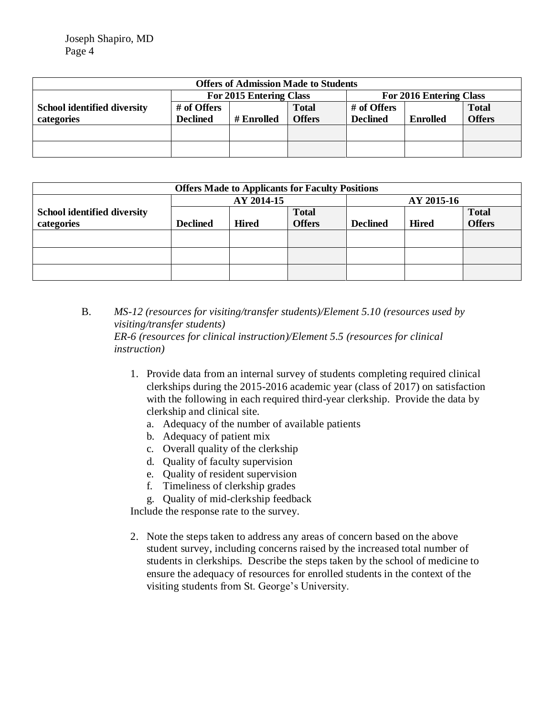| <b>Offers of Admission Made to Students</b> |                         |            |              |                         |                 |               |  |
|---------------------------------------------|-------------------------|------------|--------------|-------------------------|-----------------|---------------|--|
|                                             | For 2015 Entering Class |            |              | For 2016 Entering Class |                 |               |  |
| <b>School identified diversity</b>          | # of Offers             |            | <b>Total</b> | # of Offers             |                 | <b>Total</b>  |  |
| categories                                  | <b>Declined</b>         | # Enrolled | Offers       | <b>Declined</b>         | <b>Enrolled</b> | <b>Offers</b> |  |
|                                             |                         |            |              |                         |                 |               |  |
|                                             |                         |            |              |                         |                 |               |  |
|                                             |                         |            |              |                         |                 |               |  |

| <b>Offers Made to Applicants for Faculty Positions</b> |              |               |                 |              |               |  |  |
|--------------------------------------------------------|--------------|---------------|-----------------|--------------|---------------|--|--|
| AY 2014-15                                             |              |               | AY 2015-16      |              |               |  |  |
|                                                        |              | <b>Total</b>  |                 |              | <b>Total</b>  |  |  |
| <b>Declined</b>                                        | <b>Hired</b> | <b>Offers</b> | <b>Declined</b> | <b>Hired</b> | <b>Offers</b> |  |  |
|                                                        |              |               |                 |              |               |  |  |
|                                                        |              |               |                 |              |               |  |  |
|                                                        |              |               |                 |              |               |  |  |
|                                                        |              |               |                 |              |               |  |  |
|                                                        |              |               |                 |              |               |  |  |

B. *MS-12 (resources for visiting/transfer students)/Element 5.10 (resources used by visiting/transfer students) ER-6 (resources for clinical instruction)/Element 5.5 (resources for clinical instruction)*

- 1. Provide data from an internal survey of students completing required clinical clerkships during the 2015-2016 academic year (class of 2017) on satisfaction with the following in each required third-year clerkship. Provide the data by clerkship and clinical site.
	- a. Adequacy of the number of available patients
	- b. Adequacy of patient mix
	- c. Overall quality of the clerkship
	- d. Quality of faculty supervision
	- e. Quality of resident supervision
	- f. Timeliness of clerkship grades
	- g. Quality of mid-clerkship feedback

Include the response rate to the survey.

2. Note the steps taken to address any areas of concern based on the above student survey, including concerns raised by the increased total number of students in clerkships. Describe the steps taken by the school of medicine to ensure the adequacy of resources for enrolled students in the context of the visiting students from St. George's University.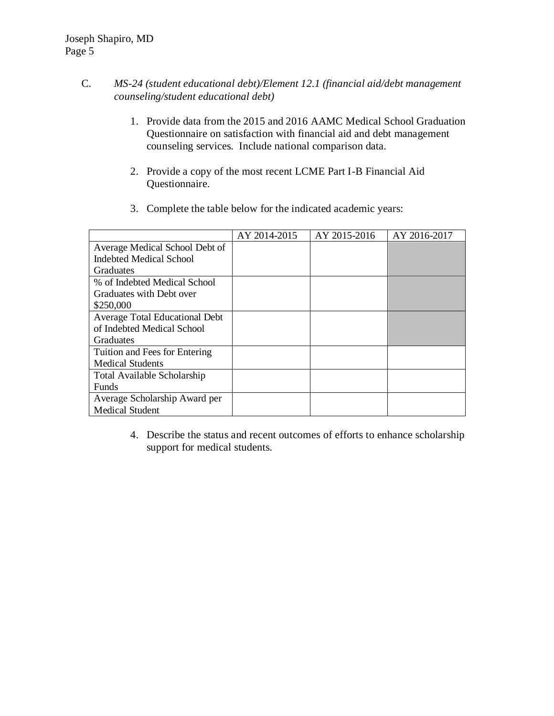- C. *MS-24 (student educational debt)/Element 12.1 (financial aid/debt management counseling/student educational debt)*
	- 1. Provide data from the 2015 and 2016 AAMC Medical School Graduation Questionnaire on satisfaction with financial aid and debt management counseling services. Include national comparison data.
	- 2. Provide a copy of the most recent LCME Part I-B Financial Aid Questionnaire.

|                                | AY 2014-2015 | AY 2015-2016 | AY 2016-2017 |
|--------------------------------|--------------|--------------|--------------|
| Average Medical School Debt of |              |              |              |
| <b>Indebted Medical School</b> |              |              |              |
| Graduates                      |              |              |              |
| % of Indebted Medical School   |              |              |              |
| Graduates with Debt over       |              |              |              |
| \$250,000                      |              |              |              |
| Average Total Educational Debt |              |              |              |
| of Indebted Medical School     |              |              |              |
| <b>Graduates</b>               |              |              |              |
| Tuition and Fees for Entering  |              |              |              |
| <b>Medical Students</b>        |              |              |              |
| Total Available Scholarship    |              |              |              |
| <b>Funds</b>                   |              |              |              |
| Average Scholarship Award per  |              |              |              |
| <b>Medical Student</b>         |              |              |              |

3. Complete the table below for the indicated academic years:

4. Describe the status and recent outcomes of efforts to enhance scholarship support for medical students.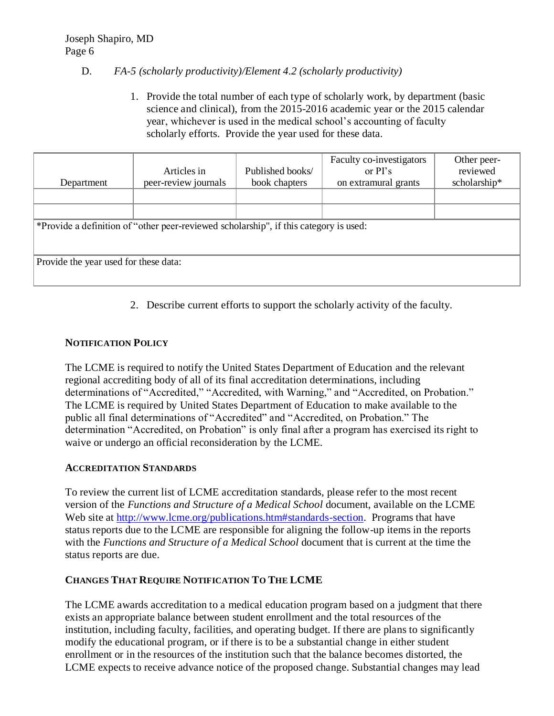## D. *FA-5 (scholarly productivity)/Element 4.2 (scholarly productivity)*

1. Provide the total number of each type of scholarly work, by department (basic science and clinical), from the 2015-2016 academic year or the 2015 calendar year, whichever is used in the medical school's accounting of faculty scholarly efforts. Provide the year used for these data.

| Department                            | Articles in<br>peer-review journals                                                   | Published books/<br>book chapters | Faculty co-investigators<br>or $PI's$<br>on extramural grants | Other peer-<br>reviewed<br>scholarship* |  |  |
|---------------------------------------|---------------------------------------------------------------------------------------|-----------------------------------|---------------------------------------------------------------|-----------------------------------------|--|--|
|                                       |                                                                                       |                                   |                                                               |                                         |  |  |
|                                       |                                                                                       |                                   |                                                               |                                         |  |  |
|                                       | *Provide a definition of "other peer-reviewed scholarship", if this category is used: |                                   |                                                               |                                         |  |  |
|                                       |                                                                                       |                                   |                                                               |                                         |  |  |
| Provide the year used for these data: |                                                                                       |                                   |                                                               |                                         |  |  |
|                                       |                                                                                       |                                   |                                                               |                                         |  |  |

2. Describe current efforts to support the scholarly activity of the faculty.

# **NOTIFICATION POLICY**

The LCME is required to notify the United States Department of Education and the relevant regional accrediting body of all of its final accreditation determinations, including determinations of "Accredited," "Accredited, with Warning," and "Accredited, on Probation." The LCME is required by United States Department of Education to make available to the public all final determinations of "Accredited" and "Accredited, on Probation." The determination "Accredited, on Probation" is only final after a program has exercised its right to waive or undergo an official reconsideration by the LCME.

#### **ACCREDITATION STANDARDS**

To review the current list of LCME accreditation standards, please refer to the most recent version of the *Functions and Structure of a Medical School* document, available on the LCME Web site at [http://www.lcme.org/publications.htm#standards-section.](http://www.lcme.org/publications.htm#standards-section) Programs that have status reports due to the LCME are responsible for aligning the follow-up items in the reports with the *Functions and Structure of a Medical School* document that is current at the time the status reports are due.

#### **CHANGES THAT REQUIRE NOTIFICATION TO THE LCME**

The LCME awards accreditation to a medical education program based on a judgment that there exists an appropriate balance between student enrollment and the total resources of the institution, including faculty, facilities, and operating budget. If there are plans to significantly modify the educational program, or if there is to be a substantial change in either student enrollment or in the resources of the institution such that the balance becomes distorted, the LCME expects to receive advance notice of the proposed change. Substantial changes may lead